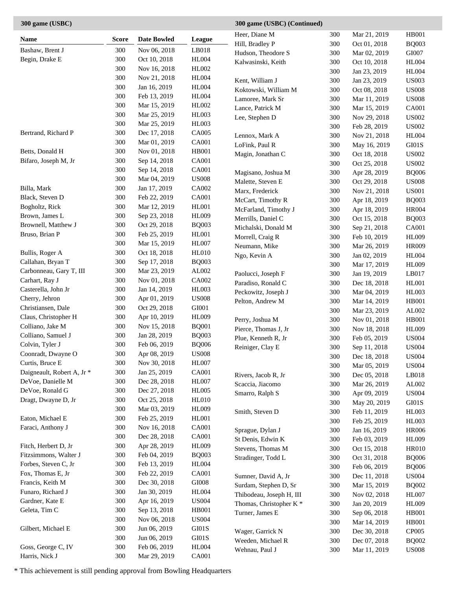## **Name Score Date Bowled League** Bashaw, Brent J 300 Nov 06, 2018 LB018 Begin, Drake E 300 Oct 10, 2018 HL004 300 Nov 16, 2018 HL002 300 Nov 21, 2018 HL004 300 Jan 16, 2019 HL004 300 Feb 13, 2019 HL004 300 Mar 15, 2019 HL002 300 Mar 25, 2019 HL003 300 Mar 25, 2019 HL003 Bertrand, Richard P 300 Dec 17, 2018 CA005 300 Mar 01, 2019 CA001 Betts, Donald H 300 Nov 01, 2018 HB001 Bifaro, Joseph M, Jr 300 Sep 14, 2018 CA001 300 Sep 14, 2018 CA001 300 Mar 04, 2019 US008 Billa, Mark 300 Jan 17, 2019 CA002 Black, Steven D 300 Feb 22, 2019 CA001 Bogholtz, Rick 300 Mar 12, 2019 HL001 Brown, James L 300 Sep 23, 2018 HL009 Brownell, Matthew J 300 Oct 29, 2018 BQ003 Bruso, Brian P 300 Feb 25, 2019 HL001 300 Mar 15, 2019 HL007 Bullis, Roger A 300 Oct 18, 2018 HL010 Callahan, Bryan T 300 Sep 17, 2018 BQ003 Carbonneau, Gary T, III 300 Mar 23, 2019 AL002 Carhart, Ray J 300 Nov 01, 2018 CA002 Casterella, John Jr 300 Jan 14, 2019 HL003 Cherry, Jehron 300 Apr 01, 2019 US008 Christiansen, Dale 300 Oct 29, 2018 GI001 Claus, Christopher H 300 Apr 10, 2019 HL009 Colliano, Jake M 300 Nov 15, 2018 BQ001 Colliano, Samuel J 300 Jan 28, 2019 BQ003 Colvin, Tyler J 300 Feb 06, 2019 BQ006 Coonradt, Dwayne O 300 Apr 08, 2019 US008 Curtis, Bruce E 300 Nov 30, 2018 HL007 Daigneault, Robert A, Jr \* 300 Jan 25, 2019 CA001 DeVoe, Danielle M 300 Dec 28, 2018 HL007 DeVoe, Ronald G 300 Dec 27, 2018 HL005 Dragt, Dwayne D, Jr 300 Oct 25, 2018 HL010 300 Mar 03, 2019 HL009 Eaton, Michael E 300 Feb 25, 2019 HL001 Faraci, Anthony J 300 Nov 16, 2018 CA001 300 Dec 28, 2018 CA001 Fitch, Herbert D, Jr 300 Apr 28, 2019 HL009 Fitzsimmons, Walter J 300 Feb 04, 2019 BQ003 Forbes, Steven C, Jr 300 Feb 13, 2019 HL004 Fox, Thomas E, Jr 300 Feb 22, 2019 CA001 Francis, Keith M 300 Dec 30, 2018 GI008 Funaro, Richard J 300 Jan 30, 2019 HL004 Gardner, Kate E 300 Apr 16, 2019 US004 Geleta, Tim C 300 Sep 13, 2018 HB001 300 Nov 06, 2018 US004 Gilbert, Michael E 300 Jun 06, 2019 GI01S 300 Jun 06, 2019 GI01S Goss, George C, IV 300 Feb 06, 2019 HL004 Heer, Diane M 300 Mar 21, 2019 HB001 Hill, Bradley P 300 Oct 01, 2018 BQ003 Hudson, Theodore S 300 Mar 02, 2019 GI007 Kalwasinski, Keith 300 Oct 10, 2018 HL004 300 Jan 23, 2019 HL004 Kent, William J 300 Jan 23, 2019 US003 Koktowski, William M 300 Oct 08, 2018 US008 Lamoree, Mark Sr 300 Mar 11, 2019 US008 Lance, Patrick M 300 Mar 15, 2019 CA001 Lee, Stephen D 300 Nov 29, 2018 US002 300 Feb 28, 2019 US002 Lennox, Mark A 300 Nov 21, 2018 HL004 LoFink, Paul R 300 May 16, 2019 GI01S Magin, Jonathan C 300 Oct 18, 2018 US002 300 Oct 25, 2018 US002 Magisano, Joshua M 300 Apr 28, 2019 BQ006 Malette, Steven E 300 Oct 29, 2018 US008 Marx, Frederick 300 Nov 21, 2018 US001 McCart, Timothy R 300 Apr 18, 2019 BQ003 McFarland, Timothy J 300 Apr 18, 2019 HR004 Merrills, Daniel C 300 Oct 15, 2018 BQ003 Michalski, Donald M 300 Sep 21, 2018 CA001 Morrell, Craig R 300 Feb 10, 2019 HL009 Neumann, Mike 300 Mar 26, 2019 HR009 Ngo, Kevin A 300 Jan 02, 2019 HL004 300 Mar 17, 2019 HL009 Paolucci, Joseph F 300 Jan 19, 2019 LB017 Paradiso, Ronald C 300 Dec 18, 2018 HL001 Peckowitz, Joseph J 300 Mar 04, 2019 HL003 Pelton, Andrew M 300 Mar 14, 2019 HB001 300 Mar 23, 2019 AL002 Perry, Joshua M 300 Nov 01, 2018 HB001 Pierce, Thomas J, Jr 300 Nov 18, 2018 HL009 Plue, Kenneth R, Jr 300 Feb 05, 2019 US004 Reiniger, Clay E 300 Sep 11, 2018 US004 300 Dec 18, 2018 US004 300 Mar 05, 2019 US004 Rivers, Jacob R, Jr 300 Dec 05, 2018 LB018 Scaccia, Jiacomo 300 Mar 26, 2019 AL002 Smarro, Ralph S 300 Apr 09, 2019 US004 300 May 20, 2019 GI01S Smith, Steven D 300 Feb 11, 2019 HL003 300 Feb 25, 2019 HL003 Sprague, Dylan J 300 Jan 16, 2019 HR006 St Denis, Edwin K 300 Feb 03, 2019 HL009 Stevens, Thomas M 300 Oct 15, 2018 HR010 Stradinger, Todd L 300 Oct 31, 2018 BQ006 300 Feb 06, 2019 BQ006 Sumner, David A, Jr 300 Dec 11, 2018 US004 Surdam, Stephen D, Sr 300 Mar 15, 2019 BQ002 Thibodeau, Joseph H, III 300 Nov 02, 2018 HL007 Thomas, Christopher K \* 300 Jan 20, 2019 HL009 Turner, James E 300 Sep 06, 2018 HB001 300 Mar 14, 2019 HB001 Wager, Garrick N 300 Dec 30, 2018 CP005 Weeden, Michael R 300 Dec 07, 2018 BQ002 Wehnau, Paul J 300 Mar 11, 2019 US008

**300 game (USBC) (Continued)**

\* This achievement is still pending approval from Bowling Headquarters

Harris, Nick J 300 Mar 29, 2019 CA001

**300 game (USBC)**